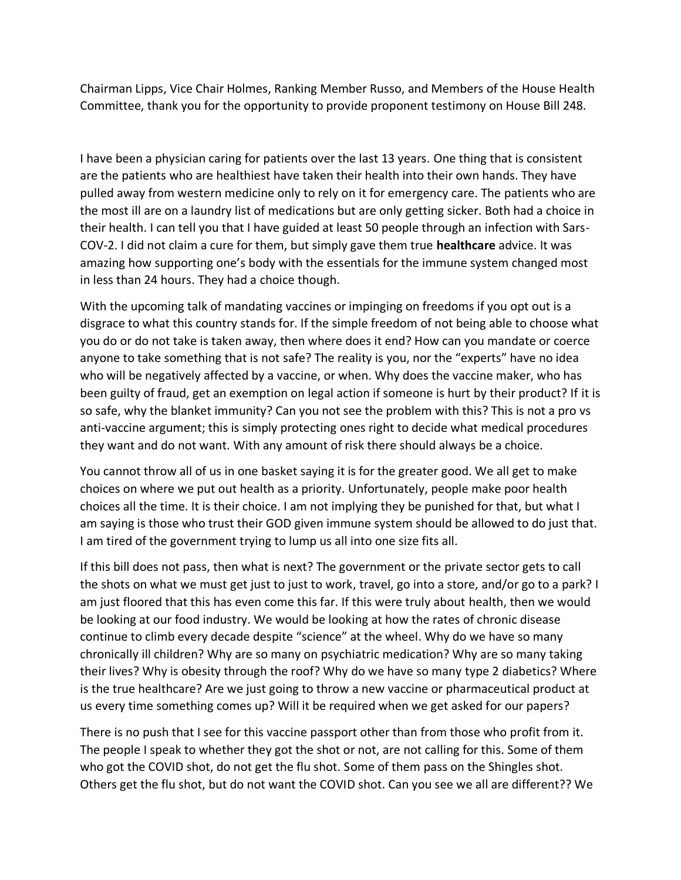Chairman Lipps, Vice Chair Holmes, Ranking Member Russo, and Members of the House Health Committee, thank you for the opportunity to provide proponent testimony on House Bill 248.

I have been a physician caring for patients over the last 13 years. One thing that is consistent are the patients who are healthiest have taken their health into their own hands. They have pulled away from western medicine only to rely on it for emergency care. The patients who are the most ill are on a laundry list of medications but are only getting sicker. Both had a choice in their health. I can tell you that I have guided at least 50 people through an infection with Sars-COV-2. I did not claim a cure for them, but simply gave them true **healthcare** advice. It was amazing how supporting one's body with the essentials for the immune system changed most in less than 24 hours. They had a choice though.

With the upcoming talk of mandating vaccines or impinging on freedoms if you opt out is a disgrace to what this country stands for. If the simple freedom of not being able to choose what you do or do not take is taken away, then where does it end? How can you mandate or coerce anyone to take something that is not safe? The reality is you, nor the "experts" have no idea who will be negatively affected by a vaccine, or when. Why does the vaccine maker, who has been guilty of fraud, get an exemption on legal action if someone is hurt by their product? If it is so safe, why the blanket immunity? Can you not see the problem with this? This is not a pro vs anti-vaccine argument; this is simply protecting ones right to decide what medical procedures they want and do not want. With any amount of risk there should always be a choice.

You cannot throw all of us in one basket saying it is for the greater good. We all get to make choices on where we put out health as a priority. Unfortunately, people make poor health choices all the time. It is their choice. I am not implying they be punished for that, but what I am saying is those who trust their GOD given immune system should be allowed to do just that. I am tired of the government trying to lump us all into one size fits all.

If this bill does not pass, then what is next? The government or the private sector gets to call the shots on what we must get just to just to work, travel, go into a store, and/or go to a park? I am just floored that this has even come this far. If this were truly about health, then we would be looking at our food industry. We would be looking at how the rates of chronic disease continue to climb every decade despite "science" at the wheel. Why do we have so many chronically ill children? Why are so many on psychiatric medication? Why are so many taking their lives? Why is obesity through the roof? Why do we have so many type 2 diabetics? Where is the true healthcare? Are we just going to throw a new vaccine or pharmaceutical product at us every time something comes up? Will it be required when we get asked for our papers?

There is no push that I see for this vaccine passport other than from those who profit from it. The people I speak to whether they got the shot or not, are not calling for this. Some of them who got the COVID shot, do not get the flu shot. Some of them pass on the Shingles shot. Others get the flu shot, but do not want the COVID shot. Can you see we all are different?? We